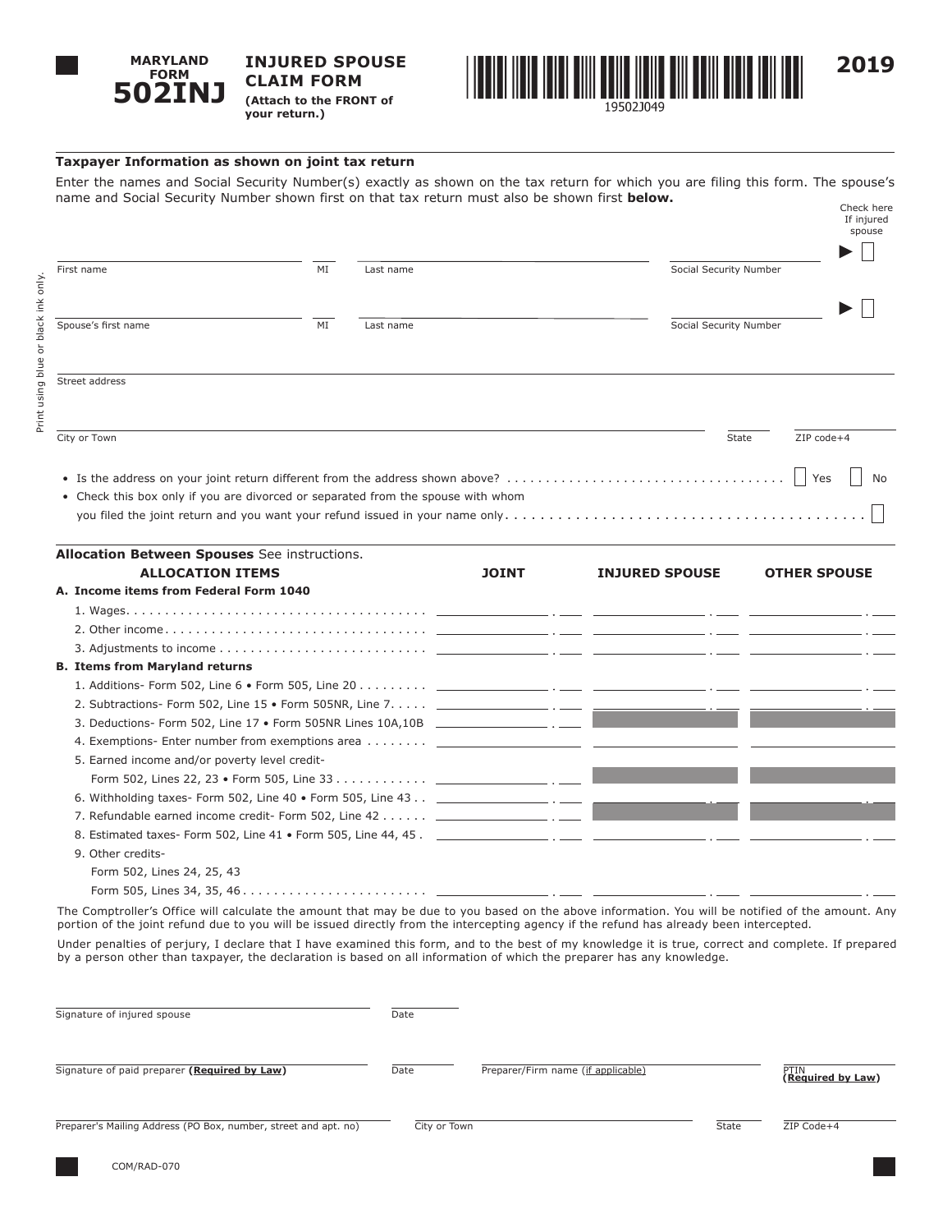

**INJURED SPOUSE CLAIM FORM (Attach to the FRONT of your return.)** 



## **Taxpayer Information as shown on joint tax return**

| DUZINJ                                                                                                | (Attach to the FRONT of<br>your return.) | .         |                                                                                                                                   |                                    |
|-------------------------------------------------------------------------------------------------------|------------------------------------------|-----------|-----------------------------------------------------------------------------------------------------------------------------------|------------------------------------|
| Taxpayer Information as shown on joint tax return                                                     |                                          |           |                                                                                                                                   |                                    |
| name and Social Security Number shown first on that tax return must also be shown first <b>below.</b> |                                          |           | Enter the names and Social Security Number(s) exactly as shown on the tax return for which you are filing this form. The spouse's | Check here<br>If injured<br>spouse |
| First name                                                                                            | MI                                       | Last name |                                                                                                                                   | Social Security Number             |
| Spouse's first name                                                                                   | MI                                       | Last name |                                                                                                                                   | Social Security Number             |
| Street address                                                                                        |                                          |           |                                                                                                                                   |                                    |
| City or Town                                                                                          |                                          |           |                                                                                                                                   | State<br>ZIP code+4                |
|                                                                                                       |                                          |           |                                                                                                                                   | Yes<br>No.                         |
| • Check this box only if you are divorced or separated from the spouse with whom                      |                                          |           |                                                                                                                                   |                                    |
| Allocation Between Spouses See instructions.                                                          |                                          |           |                                                                                                                                   |                                    |

| <b>Allocation Between Spouses</b> See instructions. |              |                       |                     |
|-----------------------------------------------------|--------------|-----------------------|---------------------|
| <b>ALLOCATION ITEMS</b>                             | <b>JOINT</b> | <b>INJURED SPOUSE</b> | <b>OTHER SPOUSE</b> |
| A. Income items from Federal Form 1040              |              |                       |                     |
|                                                     |              |                       |                     |
|                                                     |              |                       |                     |
|                                                     |              |                       |                     |
| <b>B. Items from Maryland returns</b>               |              |                       |                     |
|                                                     |              |                       |                     |
|                                                     |              |                       |                     |
|                                                     |              |                       |                     |
|                                                     |              |                       |                     |
| 5. Earned income and/or poverty level credit-       |              |                       |                     |
|                                                     |              |                       |                     |
|                                                     |              |                       |                     |
|                                                     |              |                       |                     |
|                                                     |              |                       |                     |
| 9. Other credits-                                   |              |                       |                     |
| Form 502, Lines 24, 25, 43                          |              |                       |                     |

The Comptroller's Office will calculate the amount that may be due to you based on the above information. You will be notified of the amount. Any portion of the joint refund due to you will be issued directly from the intercepting agency if the refund has already been intercepted.

Under penalties of perjury, I declare that I have examined this form, and to the best of my knowledge it is true, correct and complete. If prepared by a person other than taxpayer, the declaration is based on all information of which the preparer has any knowledge.

| Signature of injured spouse                                     | Date         |                                    |       |                           |
|-----------------------------------------------------------------|--------------|------------------------------------|-------|---------------------------|
| Signature of paid preparer (Required by Law)                    | Date         | Preparer/Firm name (if applicable) |       | PTIN<br>(Required by Law) |
| Preparer's Mailing Address (PO Box, number, street and apt. no) | City or Town |                                    | State | ZIP Code+4                |
| COM/RAD-070                                                     |              |                                    |       |                           |

Form 505, Lines 34, 35, 46 . . . . . . . . . . . . . . . . . . . . . . . .